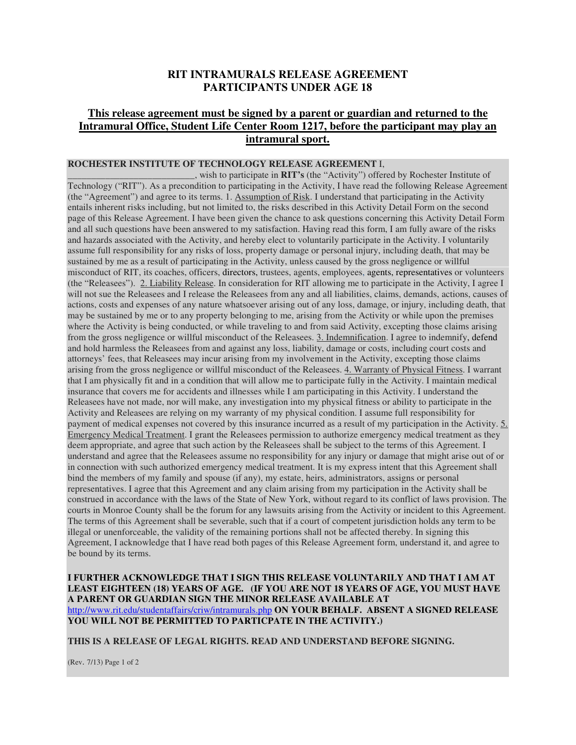## **RIT INTRAMURALS RELEASE AGREEMENT PARTICIPANTS UNDER AGE 18**

## **This release agreement must be signed by a parent or guardian and returned to the Intramural Office, Student Life Center Room 1217, before the participant may play an intramural sport.**

## **ROCHESTER INSTITUTE OF TECHNOLOGY RELEASE AGREEMENT** I,

\_\_\_\_\_\_\_\_\_\_\_\_\_\_\_\_\_\_\_\_\_\_\_\_\_\_\_, wish to participate in **RIT's** (the "Activity") offered by Rochester Institute of Technology ("RIT"). As a precondition to participating in the Activity, I have read the following Release Agreement (the "Agreement") and agree to its terms. 1. Assumption of Risk. I understand that participating in the Activity entails inherent risks including, but not limited to, the risks described in this Activity Detail Form on the second page of this Release Agreement. I have been given the chance to ask questions concerning this Activity Detail Form and all such questions have been answered to my satisfaction. Having read this form, I am fully aware of the risks and hazards associated with the Activity, and hereby elect to voluntarily participate in the Activity. I voluntarily assume full responsibility for any risks of loss, property damage or personal injury, including death, that may be sustained by me as a result of participating in the Activity, unless caused by the gross negligence or willful misconduct of RIT, its coaches, officers, directors, trustees, agents, employees, agents, representatives or volunteers (the "Releasees"). 2. Liability Release. In consideration for RIT allowing me to participate in the Activity, I agree I will not sue the Releasees and I release the Releasees from any and all liabilities, claims, demands, actions, causes of actions, costs and expenses of any nature whatsoever arising out of any loss, damage, or injury, including death, that may be sustained by me or to any property belonging to me, arising from the Activity or while upon the premises where the Activity is being conducted, or while traveling to and from said Activity, excepting those claims arising from the gross negligence or willful misconduct of the Releasees. 3. Indemnification. I agree to indemnify, defend and hold harmless the Releasees from and against any loss, liability, damage or costs, including court costs and attorneys' fees, that Releasees may incur arising from my involvement in the Activity, excepting those claims arising from the gross negligence or willful misconduct of the Releasees. 4. Warranty of Physical Fitness. I warrant that I am physically fit and in a condition that will allow me to participate fully in the Activity. I maintain medical insurance that covers me for accidents and illnesses while I am participating in this Activity. I understand the Releasees have not made, nor will make, any investigation into my physical fitness or ability to participate in the Activity and Releasees are relying on my warranty of my physical condition. I assume full responsibility for payment of medical expenses not covered by this insurance incurred as a result of my participation in the Activity. 5. Emergency Medical Treatment. I grant the Releasees permission to authorize emergency medical treatment as they deem appropriate, and agree that such action by the Releasees shall be subject to the terms of this Agreement. I understand and agree that the Releasees assume no responsibility for any injury or damage that might arise out of or in connection with such authorized emergency medical treatment. It is my express intent that this Agreement shall bind the members of my family and spouse (if any), my estate, heirs, administrators, assigns or personal representatives. I agree that this Agreement and any claim arising from my participation in the Activity shall be construed in accordance with the laws of the State of New York, without regard to its conflict of laws provision. The courts in Monroe County shall be the forum for any lawsuits arising from the Activity or incident to this Agreement. The terms of this Agreement shall be severable, such that if a court of competent jurisdiction holds any term to be illegal or unenforceable, the validity of the remaining portions shall not be affected thereby. In signing this Agreement, I acknowledge that I have read both pages of this Release Agreement form, understand it, and agree to be bound by its terms.

**I FURTHER ACKNOWLEDGE THAT I SIGN THIS RELEASE VOLUNTARILY AND THAT I AM AT LEAST EIGHTEEN (18) YEARS OF AGE. (IF YOU ARE NOT 18 YEARS OF AGE, YOU MUST HAVE A PARENT OR GUARDIAN SIGN THE MINOR RELEASE AVAILABLE AT**  http://www.rit.edu/studentaffairs/criw/intramurals.php **ON YOUR BEHALF. ABSENT A SIGNED RELEASE YOU WILL NOT BE PERMITTED TO PARTICPATE IN THE ACTIVITY.)**

**THIS IS A RELEASE OF LEGAL RIGHTS. READ AND UNDERSTAND BEFORE SIGNING.** 

(Rev. 7/13) Page 1 of 2